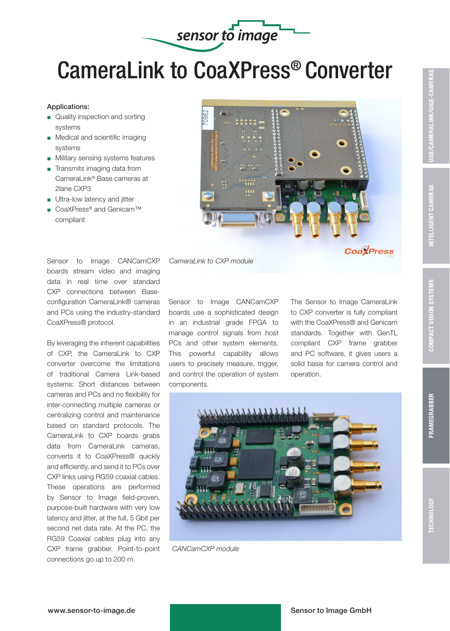

## CameraLink to CoaXPress® Converter

## Applications:

- Quality inspection and sorting systems
- **Medical and scientific imaging** systems
- **Military sensing systems features**
- $\blacksquare$  Transmits imaging data from CameraLink® Base cameras at 2lane CXP3
- $\blacksquare$  Ultra-low latency and jitter
- CoaXPress® and Genicam™ compliant

Sensor to Image CANCamCXP boards stream video and imaging data in real time over standard CXP connections between Baseconfiguration CameraLink® cameras and PCs using the industry-standard CoaXPress® protocol.

By leveraging the inherent capabilities of CXP, the CameraLink to CXP converter overcome the limitations of traditional Camera Link-based systems: Short distances between cameras and PCs and no flexibility for inter-connecting multiple cameras or centralizing control and maintenance based on standard protocols. The CameraLink to CXP boards grabs data from CameraLink cameras, converts it to CoaXPress® quickly and efficiently, and send it to PCs over CXP links using RG59 coaxial cables. These operations are performed by Sensor to Image field-proven, purpose-built hardware with very low latency and jitter, at the full, 5 Gbit per second net data rate. At the PC, the RG59 Coaxial cables plug into any CXP frame grabber. Point-to-point connections go up to 200 m.



*CameraLink to CXP module*

Sensor to Image CANCamCXP boards use a sophisticated design in an industrial grade FPGA to manage control signals from host PCs and other system elements. This powerful capability allows users to precisely measure, trigger, and control the operation of system components.

The Sensor to Image CameraLink to CXP converter is fully compliant with the CoaXPress® and Genicam standards. Together with GenTL compliant CXP frame grabber and PC software, it gives users a solid basis for camera control and operation.



*CANCamCXP module*